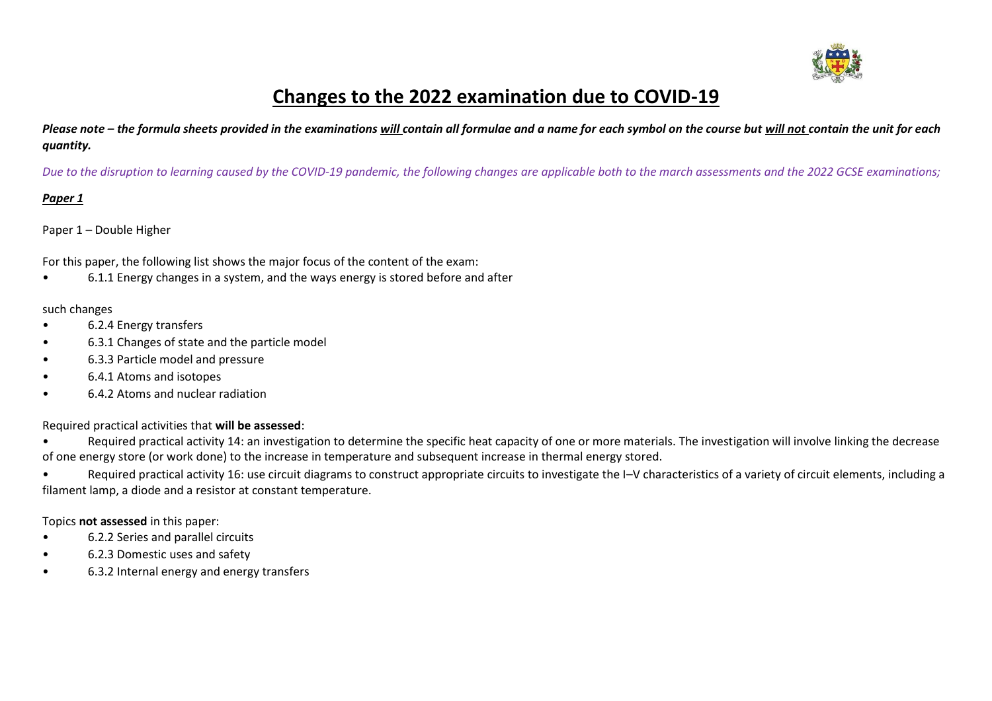

## **Changes to the 2022 examination due to COVID-19**

*Please note – the formula sheets provided in the examinations will contain all formulae and a name for each symbol on the course but will not contain the unit for each quantity.*

*Due to the disruption to learning caused by the COVID-19 pandemic, the following changes are applicable both to the march assessments and the 2022 GCSE examinations;*

### *Paper 1*

### Paper 1 – Double Higher

For this paper, the following list shows the major focus of the content of the exam:

• 6.1.1 Energy changes in a system, and the ways energy is stored before and after

### such changes

- 6.2.4 Energy transfers
- 6.3.1 Changes of state and the particle model
- 6.3.3 Particle model and pressure
- 6.4.1 Atoms and isotopes
- 6.4.2 Atoms and nuclear radiation

### Required practical activities that **will be assessed**:

- Required practical activity 14: an investigation to determine the specific heat capacity of one or more materials. The investigation will involve linking the decrease of one energy store (or work done) to the increase in temperature and subsequent increase in thermal energy stored.
- Required practical activity 16: use circuit diagrams to construct appropriate circuits to investigate the I–V characteristics of a variety of circuit elements, including a filament lamp, a diode and a resistor at constant temperature.

### Topics **not assessed** in this paper:

- 6.2.2 Series and parallel circuits
- 6.2.3 Domestic uses and safety
- 6.3.2 Internal energy and energy transfers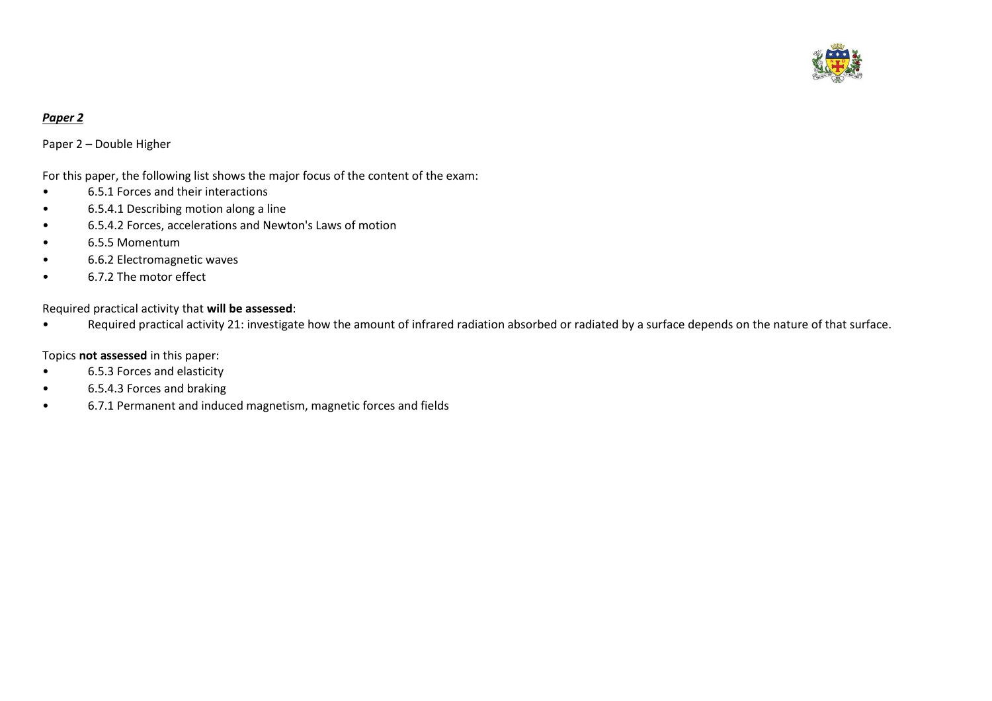

### *Paper 2*

Paper 2 – Double Higher

### For this paper, the following list shows the major focus of the content of the exam:

- 6.5.1 Forces and their interactions
- 6.5.4.1 Describing motion along a line
- 6.5.4.2 Forces, accelerations and Newton's Laws of motion
- 6.5.5 Momentum
- 6.6.2 Electromagnetic waves
- 6.7.2 The motor effect

### Required practical activity that **will be assessed**:

• Required practical activity 21: investigate how the amount of infrared radiation absorbed or radiated by a surface depends on the nature of that surface.

### Topics **not assessed** in this paper:

- 6.5.3 Forces and elasticity
- 6.5.4.3 Forces and braking
- 6.7.1 Permanent and induced magnetism, magnetic forces and fields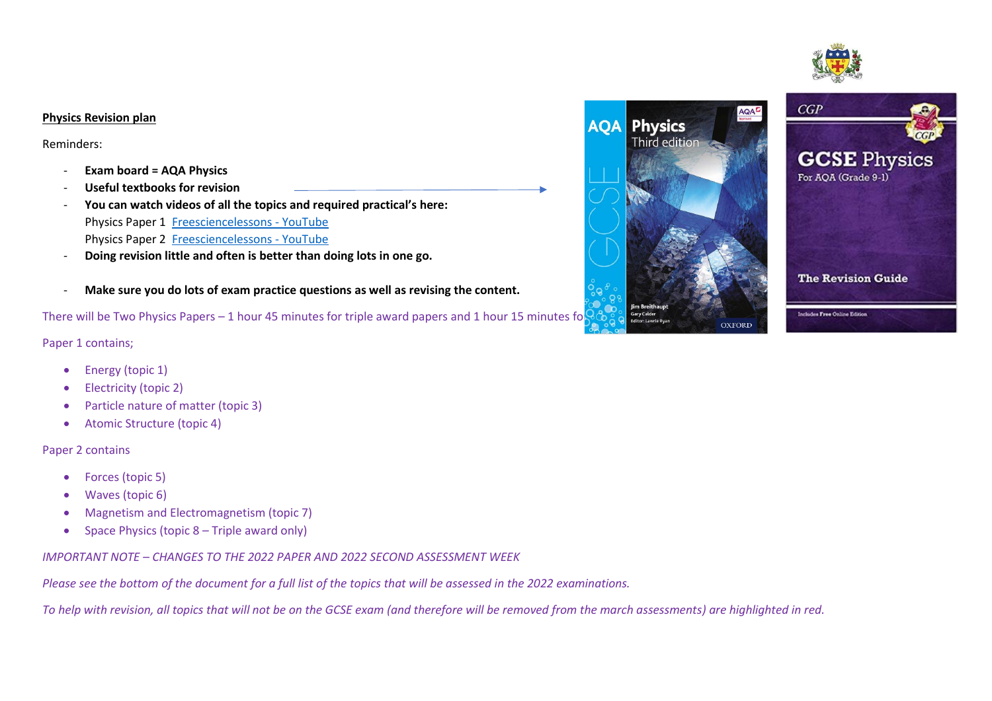# $CGP$ **GCSE Physics** For AOA (Grade 9-1) **The Revision Guide** Includes Free Online Edition

### **Physics Revision plan**

Reminders:

- **Exam board = AQA Physics**
- **Useful textbooks for revision**
- **You can watch videos of all the topics and required practical's here:** Physics Paper 1 [Freesciencelessons -](https://www.youtube.com/c/Freesciencelessons/playlists?view=50&sort=dd&shelf_id=2) YouTube Physics Paper 2 [Freesciencelessons -](https://www.youtube.com/c/Freesciencelessons/playlists?view=50&shelf_id=5) YouTube
- **Doing revision little and often is better than doing lots in one go.**
- **Make sure you do lots of exam practice questions as well as revising the content.**

There will be Two Physics Papers – 1 hour 45 minutes for triple award papers and 1 hour 15 minutes for  $\frac{1}{2}$ 

### Paper 1 contains;

- Energy (topic 1)
- Electricity (topic 2)
- Particle nature of matter (topic 3)
- Atomic Structure (topic 4)

### Paper 2 contains

- Forces (topic 5)
- Waves (topic 6)
- Magnetism and Electromagnetism (topic 7)
- Space Physics (topic 8 Triple award only)

*IMPORTANT NOTE – CHANGES TO THE 2022 PAPER AND 2022 SECOND ASSESSMENT WEEK*

*Please see the bottom of the document for a full list of the topics that will be assessed in the 2022 examinations.*

*To help with revision, all topics that will not be on the GCSE exam (and therefore will be removed from the march assessments) are highlighted in red.*

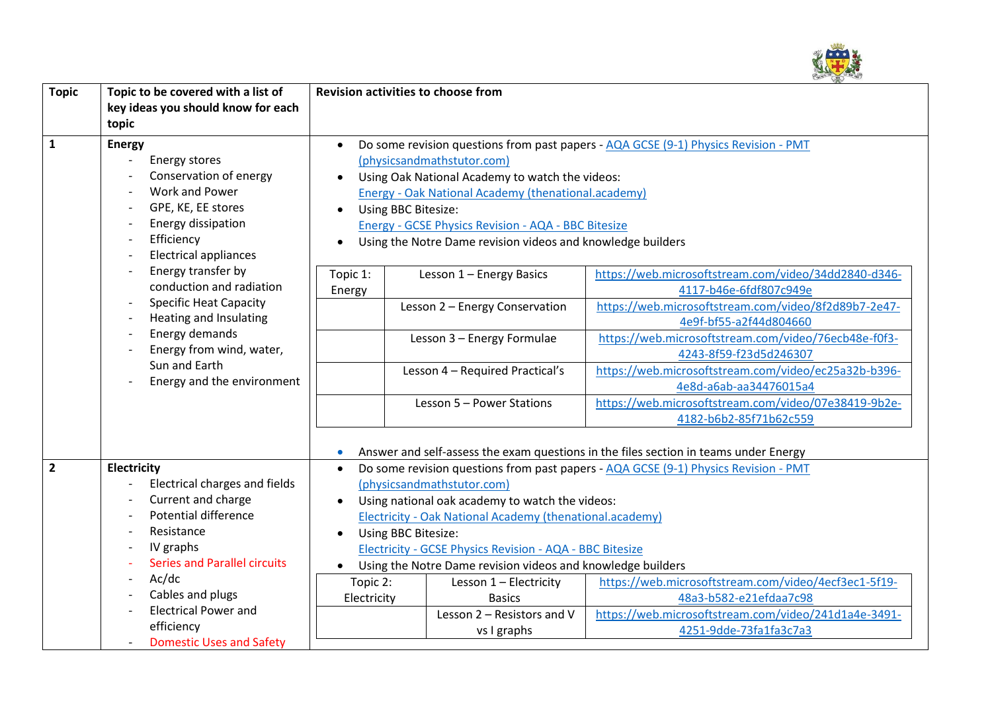

| <b>Topic</b>   | Topic to be covered with a list of<br>key ideas you should know for each<br>topic                                                                                                                                                                                                                                                                                                                                                                                       | <b>Revision activities to choose from</b>                                                                                                                                                                                                                                                                                                                                                                                                                                                                                       |                                                                                      |                                                                                                                                                                  |  |
|----------------|-------------------------------------------------------------------------------------------------------------------------------------------------------------------------------------------------------------------------------------------------------------------------------------------------------------------------------------------------------------------------------------------------------------------------------------------------------------------------|---------------------------------------------------------------------------------------------------------------------------------------------------------------------------------------------------------------------------------------------------------------------------------------------------------------------------------------------------------------------------------------------------------------------------------------------------------------------------------------------------------------------------------|--------------------------------------------------------------------------------------|------------------------------------------------------------------------------------------------------------------------------------------------------------------|--|
| $\mathbf{1}$   | <b>Energy</b><br>Energy stores<br>Conservation of energy<br>Work and Power<br>GPE, KE, EE stores<br>$\overline{a}$<br>Energy dissipation<br>$\overline{\phantom{m}}$<br>Efficiency<br>$\overline{a}$<br><b>Electrical appliances</b><br>$\overline{a}$<br>Energy transfer by<br>conduction and radiation<br><b>Specific Heat Capacity</b><br><b>Heating and Insulating</b><br>Energy demands<br>Energy from wind, water,<br>Sun and Earth<br>Energy and the environment | Do some revision questions from past papers - AQA GCSE (9-1) Physics Revision - PMT<br>(physicsandmathstutor.com)<br>Using Oak National Academy to watch the videos:<br>Energy - Oak National Academy (thenational.academy)<br>Using BBC Bitesize:<br>$\bullet$<br><b>Energy - GCSE Physics Revision - AQA - BBC Bitesize</b><br>Using the Notre Dame revision videos and knowledge builders<br>$\bullet$                                                                                                                       |                                                                                      |                                                                                                                                                                  |  |
|                |                                                                                                                                                                                                                                                                                                                                                                                                                                                                         | Topic 1:<br>Energy                                                                                                                                                                                                                                                                                                                                                                                                                                                                                                              | Lesson 1 - Energy Basics<br>Lesson 2 - Energy Conservation                           | https://web.microsoftstream.com/video/34dd2840-d346-<br>4117-b46e-6fdf807c949e<br>https://web.microsoftstream.com/video/8f2d89b7-2e47-                           |  |
|                |                                                                                                                                                                                                                                                                                                                                                                                                                                                                         |                                                                                                                                                                                                                                                                                                                                                                                                                                                                                                                                 | Lesson 3 - Energy Formulae                                                           | 4e9f-bf55-a2f44d804660<br>https://web.microsoftstream.com/video/76ecb48e-f0f3-<br>4243-8f59-f23d5d246307                                                         |  |
|                |                                                                                                                                                                                                                                                                                                                                                                                                                                                                         |                                                                                                                                                                                                                                                                                                                                                                                                                                                                                                                                 | Lesson 4 - Required Practical's<br>Lesson 5 - Power Stations                         | https://web.microsoftstream.com/video/ec25a32b-b396-<br>4e8d-a6ab-aa34476015a4<br>https://web.microsoftstream.com/video/07e38419-9b2e-<br>4182-b6b2-85f71b62c559 |  |
| $\overline{2}$ | <b>Electricity</b><br><b>Electrical charges and fields</b><br>Current and charge<br>$\overline{\phantom{a}}$                                                                                                                                                                                                                                                                                                                                                            | Answer and self-assess the exam questions in the files section in teams under Energy<br>$\bullet$<br>Do some revision questions from past papers - AQA GCSE (9-1) Physics Revision - PMT<br>$\bullet$<br>(physicsandmathstutor.com)<br>Using national oak academy to watch the videos:<br>$\bullet$<br><b>Electricity - Oak National Academy (thenational.academy)</b><br>Using BBC Bitesize:<br><b>Electricity - GCSE Physics Revision - AQA - BBC Bitesize</b><br>Using the Notre Dame revision videos and knowledge builders |                                                                                      |                                                                                                                                                                  |  |
|                | <b>Potential difference</b><br>Resistance<br>IV graphs<br><b>Series and Parallel circuits</b>                                                                                                                                                                                                                                                                                                                                                                           |                                                                                                                                                                                                                                                                                                                                                                                                                                                                                                                                 |                                                                                      |                                                                                                                                                                  |  |
|                | Ac/dc<br>Cables and plugs<br><b>Electrical Power and</b><br>efficiency<br><b>Domestic Uses and Safety</b>                                                                                                                                                                                                                                                                                                                                                               | Topic 2:<br>Electricity                                                                                                                                                                                                                                                                                                                                                                                                                                                                                                         | Lesson 1 - Electricity<br><b>Basics</b><br>Lesson 2 - Resistors and V<br>vs I graphs | https://web.microsoftstream.com/video/4ecf3ec1-5f19-<br>48a3-b582-e21efdaa7c98<br>https://web.microsoftstream.com/video/241d1a4e-3491-<br>4251-9dde-73fa1fa3c7a3 |  |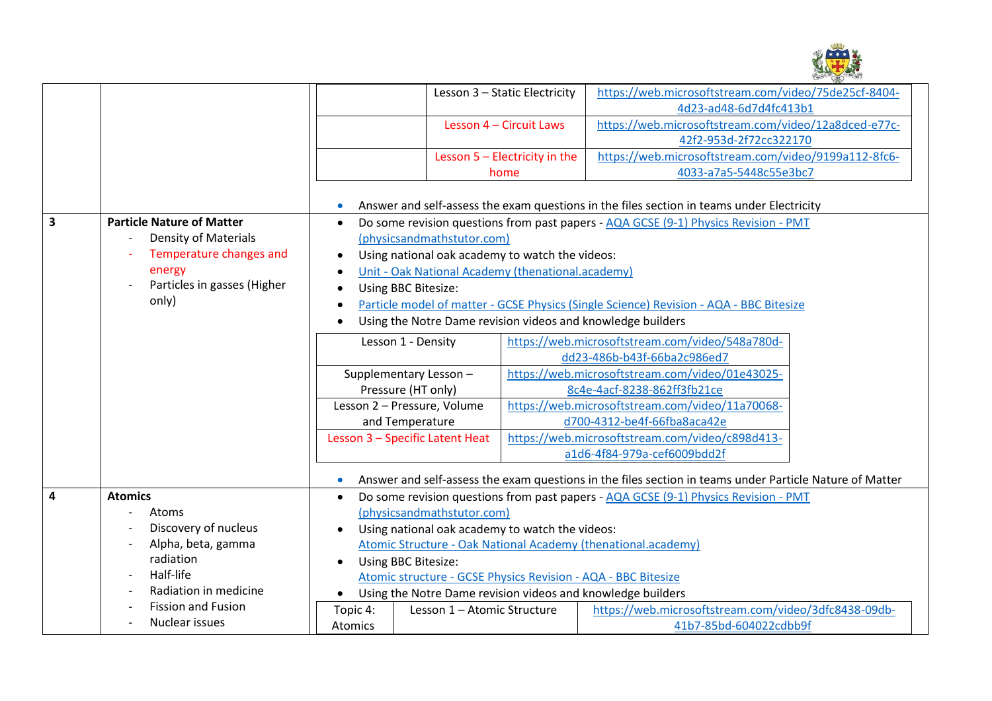

|                                                                 |                                  |                                                                                                                   | Lesson 3 - Static Electricity                                 | https://web.microsoftstream.com/video/75de25cf-8404-                                                    |  |  |
|-----------------------------------------------------------------|----------------------------------|-------------------------------------------------------------------------------------------------------------------|---------------------------------------------------------------|---------------------------------------------------------------------------------------------------------|--|--|
|                                                                 |                                  |                                                                                                                   |                                                               | 4d23-ad48-6d7d4fc413b1                                                                                  |  |  |
|                                                                 |                                  |                                                                                                                   | Lesson 4 - Circuit Laws                                       | https://web.microsoftstream.com/video/12a8dced-e77c-                                                    |  |  |
|                                                                 |                                  |                                                                                                                   |                                                               | 42f2-953d-2f72cc322170                                                                                  |  |  |
|                                                                 |                                  |                                                                                                                   | Lesson $5$ - Electricity in the                               | https://web.microsoftstream.com/video/9199a112-8fc6-                                                    |  |  |
|                                                                 |                                  |                                                                                                                   | home                                                          | 4033-a7a5-5448c55e3bc7                                                                                  |  |  |
|                                                                 |                                  |                                                                                                                   |                                                               |                                                                                                         |  |  |
|                                                                 |                                  |                                                                                                                   |                                                               | Answer and self-assess the exam questions in the files section in teams under Electricity               |  |  |
| 3                                                               | <b>Particle Nature of Matter</b> | Do some revision questions from past papers - AQA GCSE (9-1) Physics Revision - PMT<br>$\bullet$                  |                                                               |                                                                                                         |  |  |
|                                                                 | Density of Materials             | (physicsandmathstutor.com)                                                                                        |                                                               |                                                                                                         |  |  |
|                                                                 | Temperature changes and          | Using national oak academy to watch the videos:<br>Unit - Oak National Academy (thenational.academy)<br>$\bullet$ |                                                               |                                                                                                         |  |  |
|                                                                 | energy                           |                                                                                                                   |                                                               |                                                                                                         |  |  |
| Particles in gasses (Higher<br>Using BBC Bitesize:<br>$\bullet$ |                                  |                                                                                                                   |                                                               |                                                                                                         |  |  |
|                                                                 | only)                            | Particle model of matter - GCSE Physics (Single Science) Revision - AQA - BBC Bitesize<br>$\bullet$               |                                                               |                                                                                                         |  |  |
|                                                                 |                                  | Using the Notre Dame revision videos and knowledge builders<br>$\bullet$                                          |                                                               |                                                                                                         |  |  |
|                                                                 |                                  | Lesson 1 - Density                                                                                                |                                                               | https://web.microsoftstream.com/video/548a780d-                                                         |  |  |
|                                                                 |                                  |                                                                                                                   |                                                               | dd23-486b-b43f-66ba2c986ed7                                                                             |  |  |
|                                                                 |                                  | Supplementary Lesson-                                                                                             |                                                               | https://web.microsoftstream.com/video/01e43025-                                                         |  |  |
|                                                                 |                                  | Pressure (HT only)                                                                                                |                                                               | 8c4e-4acf-8238-862ff3fb21ce                                                                             |  |  |
|                                                                 |                                  | Lesson 2 - Pressure, Volume                                                                                       |                                                               | https://web.microsoftstream.com/video/11a70068-                                                         |  |  |
|                                                                 |                                  | and Temperature                                                                                                   |                                                               | d700-4312-be4f-66fba8aca42e                                                                             |  |  |
|                                                                 |                                  | Lesson 3 - Specific Latent Heat                                                                                   |                                                               | https://web.microsoftstream.com/video/c898d413-                                                         |  |  |
|                                                                 |                                  |                                                                                                                   |                                                               | a1d6-4f84-979a-cef6009bdd2f                                                                             |  |  |
|                                                                 |                                  |                                                                                                                   |                                                               |                                                                                                         |  |  |
|                                                                 |                                  |                                                                                                                   |                                                               | Answer and self-assess the exam questions in the files section in teams under Particle Nature of Matter |  |  |
| $\overline{4}$                                                  | <b>Atomics</b>                   | $\bullet$                                                                                                         |                                                               | Do some revision questions from past papers - AQA GCSE (9-1) Physics Revision - PMT                     |  |  |
|                                                                 | Atoms                            | (physicsandmathstutor.com)                                                                                        |                                                               |                                                                                                         |  |  |
|                                                                 | Discovery of nucleus             | Using national oak academy to watch the videos:                                                                   |                                                               |                                                                                                         |  |  |
|                                                                 | Alpha, beta, gamma               |                                                                                                                   | Atomic Structure - Oak National Academy (thenational.academy) |                                                                                                         |  |  |
|                                                                 | radiation                        | Using BBC Bitesize:<br>$\bullet$                                                                                  |                                                               |                                                                                                         |  |  |
|                                                                 | Half-life                        | Atomic structure - GCSE Physics Revision - AQA - BBC Bitesize                                                     |                                                               |                                                                                                         |  |  |
|                                                                 | Radiation in medicine            | $\bullet$                                                                                                         | Using the Notre Dame revision videos and knowledge builders   |                                                                                                         |  |  |
|                                                                 | <b>Fission and Fusion</b>        | Topic 4:                                                                                                          | Lesson 1 - Atomic Structure                                   | https://web.microsoftstream.com/video/3dfc8438-09db-                                                    |  |  |
|                                                                 | Nuclear issues                   | <b>Atomics</b>                                                                                                    |                                                               | 41b7-85bd-604022cdbb9f                                                                                  |  |  |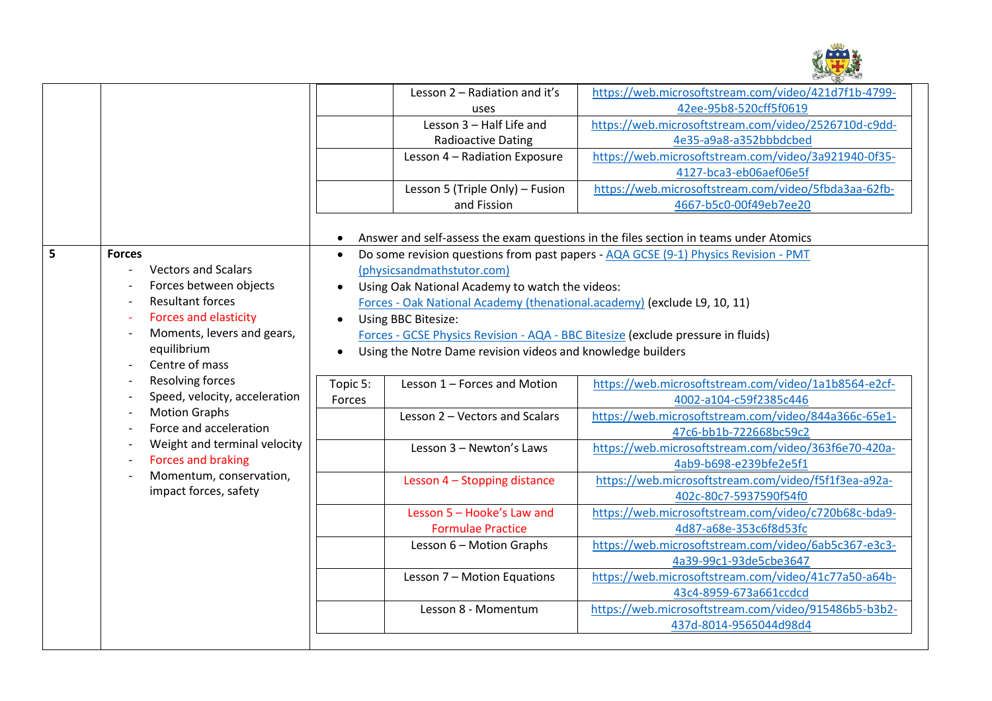

|   |                                                                                                                                                                                                                      |                                                                                  | Lesson 2 - Radiation and it's                                            | https://web.microsoftstream.com/video/421d7f1b-4799-                                  |  |
|---|----------------------------------------------------------------------------------------------------------------------------------------------------------------------------------------------------------------------|----------------------------------------------------------------------------------|--------------------------------------------------------------------------|---------------------------------------------------------------------------------------|--|
|   |                                                                                                                                                                                                                      |                                                                                  | 42ee-95b8-520cff5f0619<br>uses                                           |                                                                                       |  |
|   |                                                                                                                                                                                                                      |                                                                                  | Lesson 3 - Half Life and                                                 | https://web.microsoftstream.com/video/2526710d-c9dd-                                  |  |
|   |                                                                                                                                                                                                                      |                                                                                  | <b>Radioactive Dating</b>                                                | 4e35-a9a8-a352bbbdcbed                                                                |  |
|   |                                                                                                                                                                                                                      |                                                                                  | Lesson 4 - Radiation Exposure                                            | https://web.microsoftstream.com/video/3a921940-0f35-                                  |  |
|   |                                                                                                                                                                                                                      |                                                                                  |                                                                          | 4127-bca3-eb06aef06e5f                                                                |  |
|   |                                                                                                                                                                                                                      |                                                                                  | Lesson 5 (Triple Only) - Fusion                                          | https://web.microsoftstream.com/video/5fbda3aa-62fb-                                  |  |
|   |                                                                                                                                                                                                                      |                                                                                  | and Fission                                                              | 4667-b5c0-00f49eb7ee20                                                                |  |
|   |                                                                                                                                                                                                                      |                                                                                  |                                                                          |                                                                                       |  |
|   |                                                                                                                                                                                                                      | $\bullet$                                                                        |                                                                          | Answer and self-assess the exam questions in the files section in teams under Atomics |  |
| 5 | <b>Forces</b>                                                                                                                                                                                                        | $\bullet$                                                                        |                                                                          | Do some revision questions from past papers - AQA GCSE (9-1) Physics Revision - PMT   |  |
|   | <b>Vectors and Scalars</b><br>$\blacksquare$                                                                                                                                                                         |                                                                                  | (physicsandmathstutor.com)                                               |                                                                                       |  |
|   | Forces between objects                                                                                                                                                                                               |                                                                                  | Using Oak National Academy to watch the videos:                          |                                                                                       |  |
|   | <b>Resultant forces</b>                                                                                                                                                                                              |                                                                                  | Forces - Oak National Academy (thenational.academy) (exclude L9, 10, 11) |                                                                                       |  |
|   | <b>Forces and elasticity</b><br>$\overline{\phantom{a}}$                                                                                                                                                             | $\bullet$                                                                        | Using BBC Bitesize:                                                      |                                                                                       |  |
|   | Moments, levers and gears,<br>$\overline{\phantom{a}}$                                                                                                                                                               | Forces - GCSE Physics Revision - AQA - BBC Bitesize (exclude pressure in fluids) |                                                                          |                                                                                       |  |
|   | equilibrium                                                                                                                                                                                                          | $\bullet$                                                                        | Using the Notre Dame revision videos and knowledge builders              |                                                                                       |  |
|   | Centre of mass                                                                                                                                                                                                       |                                                                                  |                                                                          |                                                                                       |  |
|   | Resolving forces<br>Speed, velocity, acceleration<br><b>Motion Graphs</b><br>Force and acceleration<br>Weight and terminal velocity<br><b>Forces and braking</b><br>Momentum, conservation,<br>impact forces, safety | Topic 5:                                                                         | Lesson 1 - Forces and Motion                                             | https://web.microsoftstream.com/video/1a1b8564-e2cf-                                  |  |
|   |                                                                                                                                                                                                                      | Forces                                                                           |                                                                          | 4002-a104-c59f2385c446                                                                |  |
|   |                                                                                                                                                                                                                      |                                                                                  | Lesson 2 - Vectors and Scalars                                           | https://web.microsoftstream.com/video/844a366c-65e1-                                  |  |
|   |                                                                                                                                                                                                                      |                                                                                  |                                                                          | 47c6-bb1b-722668bc59c2                                                                |  |
|   |                                                                                                                                                                                                                      |                                                                                  | Lesson 3 - Newton's Laws                                                 | https://web.microsoftstream.com/video/363f6e70-420a-                                  |  |
|   |                                                                                                                                                                                                                      |                                                                                  |                                                                          | 4ab9-b698-e239bfe2e5f1                                                                |  |
|   |                                                                                                                                                                                                                      |                                                                                  | Lesson 4 - Stopping distance                                             | https://web.microsoftstream.com/video/f5f1f3ea-a92a-                                  |  |
|   |                                                                                                                                                                                                                      |                                                                                  |                                                                          | 402c-80c7-5937590f54f0                                                                |  |
|   |                                                                                                                                                                                                                      |                                                                                  | Lesson 5 - Hooke's Law and                                               | https://web.microsoftstream.com/video/c720b68c-bda9-                                  |  |
|   |                                                                                                                                                                                                                      |                                                                                  | <b>Formulae Practice</b>                                                 | 4d87-a68e-353c6f8d53fc                                                                |  |
|   |                                                                                                                                                                                                                      |                                                                                  | Lesson 6 - Motion Graphs                                                 | https://web.microsoftstream.com/video/6ab5c367-e3c3-                                  |  |
|   |                                                                                                                                                                                                                      |                                                                                  |                                                                          | 4a39-99c1-93de5cbe3647                                                                |  |
|   |                                                                                                                                                                                                                      |                                                                                  | Lesson 7 - Motion Equations                                              | https://web.microsoftstream.com/video/41c77a50-a64b-                                  |  |
|   |                                                                                                                                                                                                                      |                                                                                  |                                                                          | 43c4-8959-673a661ccdcd                                                                |  |
|   |                                                                                                                                                                                                                      |                                                                                  | Lesson 8 - Momentum                                                      | https://web.microsoftstream.com/video/915486b5-b3b2-                                  |  |
|   |                                                                                                                                                                                                                      |                                                                                  |                                                                          | 437d-8014-9565044d98d4                                                                |  |
|   |                                                                                                                                                                                                                      |                                                                                  |                                                                          |                                                                                       |  |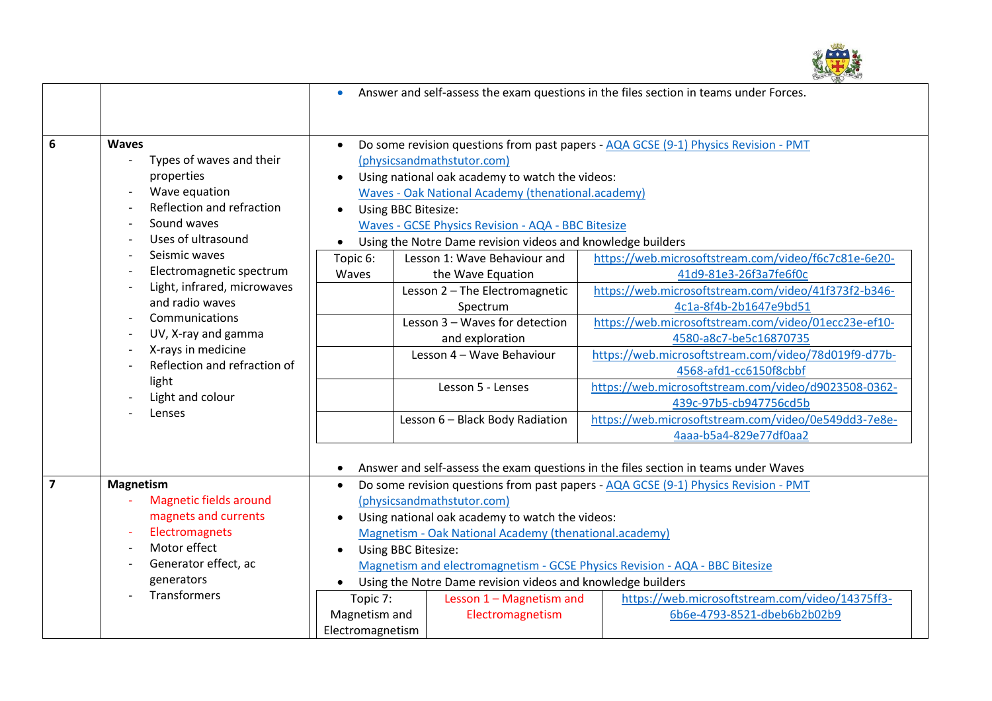

|                  |                                                         | Answer and self-assess the exam questions in the files section in teams under Forces.<br>$\bullet$                             |                                 |                                                      |  |
|------------------|---------------------------------------------------------|--------------------------------------------------------------------------------------------------------------------------------|---------------------------------|------------------------------------------------------|--|
|                  |                                                         |                                                                                                                                |                                 |                                                      |  |
| $\boldsymbol{6}$ | <b>Waves</b>                                            | Do some revision questions from past papers - AQA GCSE (9-1) Physics Revision - PMT<br>$\bullet$                               |                                 |                                                      |  |
|                  | Types of waves and their                                | (physicsandmathstutor.com)                                                                                                     |                                 |                                                      |  |
|                  | properties                                              | Using national oak academy to watch the videos:<br>$\bullet$                                                                   |                                 |                                                      |  |
|                  | Wave equation<br>$\overline{\phantom{a}}$               | Waves - Oak National Academy (thenational.academy)                                                                             |                                 |                                                      |  |
|                  | Reflection and refraction                               | Using BBC Bitesize:<br>$\bullet$                                                                                               |                                 |                                                      |  |
|                  | Sound waves                                             | Waves - GCSE Physics Revision - AQA - BBC Bitesize                                                                             |                                 |                                                      |  |
|                  | Uses of ultrasound                                      | Using the Notre Dame revision videos and knowledge builders<br>$\bullet$                                                       |                                 |                                                      |  |
|                  | Seismic waves<br>$\overline{\phantom{a}}$               | Topic 6:                                                                                                                       | Lesson 1: Wave Behaviour and    | https://web.microsoftstream.com/video/f6c7c81e-6e20- |  |
|                  | Electromagnetic spectrum<br>Light, infrared, microwaves | Waves                                                                                                                          | the Wave Equation               | 41d9-81e3-26f3a7fe6f0c                               |  |
|                  | and radio waves                                         |                                                                                                                                | Lesson 2 - The Electromagnetic  | https://web.microsoftstream.com/video/41f373f2-b346- |  |
|                  | Communications                                          |                                                                                                                                | Spectrum                        | 4c1a-8f4b-2b1647e9bd51                               |  |
|                  | UV, X-ray and gamma                                     |                                                                                                                                | Lesson 3 - Waves for detection  | https://web.microsoftstream.com/video/01ecc23e-ef10- |  |
|                  | X-rays in medicine                                      |                                                                                                                                | and exploration                 | 4580-a8c7-be5c16870735                               |  |
|                  | Reflection and refraction of                            |                                                                                                                                | Lesson 4 - Wave Behaviour       | https://web.microsoftstream.com/video/78d019f9-d77b- |  |
|                  | light                                                   |                                                                                                                                |                                 | 4568-afd1-cc6150f8cbbf                               |  |
|                  | Light and colour<br>$\overline{\phantom{a}}$            |                                                                                                                                | Lesson 5 - Lenses               | https://web.microsoftstream.com/video/d9023508-0362- |  |
|                  | Lenses                                                  |                                                                                                                                |                                 | 439c-97b5-cb947756cd5b                               |  |
|                  |                                                         |                                                                                                                                | Lesson 6 - Black Body Radiation | https://web.microsoftstream.com/video/0e549dd3-7e8e- |  |
|                  |                                                         |                                                                                                                                |                                 | 4aaa-b5a4-829e77df0aa2                               |  |
|                  |                                                         |                                                                                                                                |                                 |                                                      |  |
| $\overline{7}$   | <b>Magnetism</b>                                        | Answer and self-assess the exam questions in the files section in teams under Waves                                            |                                 |                                                      |  |
|                  | <b>Magnetic fields around</b>                           | Do some revision questions from past papers - AQA GCSE (9-1) Physics Revision - PMT<br>$\bullet$<br>(physicsandmathstutor.com) |                                 |                                                      |  |
|                  | magnets and currents                                    | Using national oak academy to watch the videos:                                                                                |                                 |                                                      |  |
|                  | Electromagnets<br>÷,                                    | $\bullet$<br>Magnetism - Oak National Academy (thenational.academy)                                                            |                                 |                                                      |  |
|                  | Motor effect<br>$\overline{\phantom{a}}$                | Using BBC Bitesize:                                                                                                            |                                 |                                                      |  |
|                  | Generator effect, ac                                    | $\bullet$<br>Magnetism and electromagnetism - GCSE Physics Revision - AQA - BBC Bitesize                                       |                                 |                                                      |  |
|                  | generators                                              |                                                                                                                                |                                 |                                                      |  |
|                  | Transformers                                            | Using the Notre Dame revision videos and knowledge builders<br>$\bullet$<br>Topic 7:<br>Lesson 1 - Magnetism and               |                                 | https://web.microsoftstream.com/video/14375ff3-      |  |
|                  |                                                         | Magnetism and                                                                                                                  | Electromagnetism                | 6b6e-4793-8521-dbeb6b2b02b9                          |  |
|                  |                                                         | Electromagnetism                                                                                                               |                                 |                                                      |  |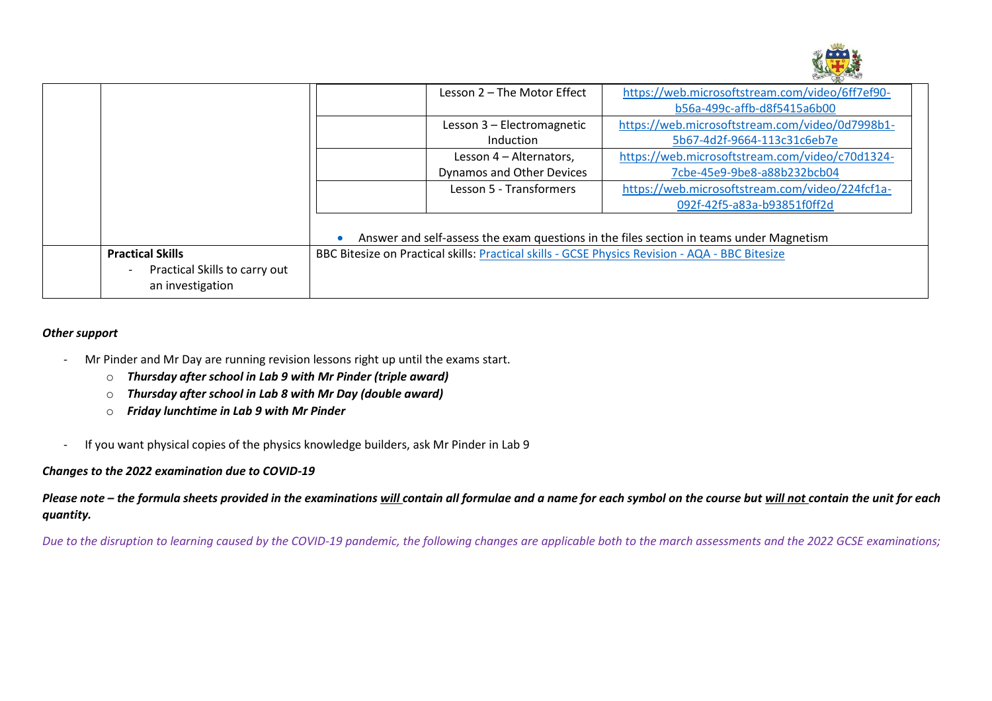

|                                                                              | Lesson 2 – The Motor Effect                                                                     | https://web.microsoftstream.com/video/6ff7ef90- |  |
|------------------------------------------------------------------------------|-------------------------------------------------------------------------------------------------|-------------------------------------------------|--|
|                                                                              |                                                                                                 | b56a-499c-affb-d8f5415a6b00                     |  |
|                                                                              | Lesson 3 - Electromagnetic                                                                      | https://web.microsoftstream.com/video/0d7998b1- |  |
|                                                                              | <b>Induction</b>                                                                                | 5b67-4d2f-9664-113c31c6eb7e                     |  |
|                                                                              | Lesson 4 - Alternators,                                                                         | https://web.microsoftstream.com/video/c70d1324- |  |
|                                                                              | <b>Dynamos and Other Devices</b>                                                                | 7cbe-45e9-9be8-a88b232bcb04                     |  |
|                                                                              | Lesson 5 - Transformers                                                                         | https://web.microsoftstream.com/video/224fcf1a- |  |
|                                                                              |                                                                                                 | 092f-42f5-a83a-b93851f0ff2d                     |  |
|                                                                              | Answer and self-assess the exam questions in the files section in teams under Magnetism         |                                                 |  |
| <b>Practical Skills</b><br>Practical Skills to carry out<br>an investigation | BBC Bitesize on Practical skills: Practical skills - GCSE Physics Revision - AQA - BBC Bitesize |                                                 |  |

### *Other support*

- Mr Pinder and Mr Day are running revision lessons right up until the exams start.
	- o *Thursday after school in Lab 9 with Mr Pinder (triple award)*
	- o *Thursday after school in Lab 8 with Mr Day (double award)*
	- o *Friday lunchtime in Lab 9 with Mr Pinder*
- If you want physical copies of the physics knowledge builders, ask Mr Pinder in Lab 9

### *Changes to the 2022 examination due to COVID-19*

*Please note – the formula sheets provided in the examinations will contain all formulae and a name for each symbol on the course but will not contain the unit for each quantity.*

*Due to the disruption to learning caused by the COVID-19 pandemic, the following changes are applicable both to the march assessments and the 2022 GCSE examinations;*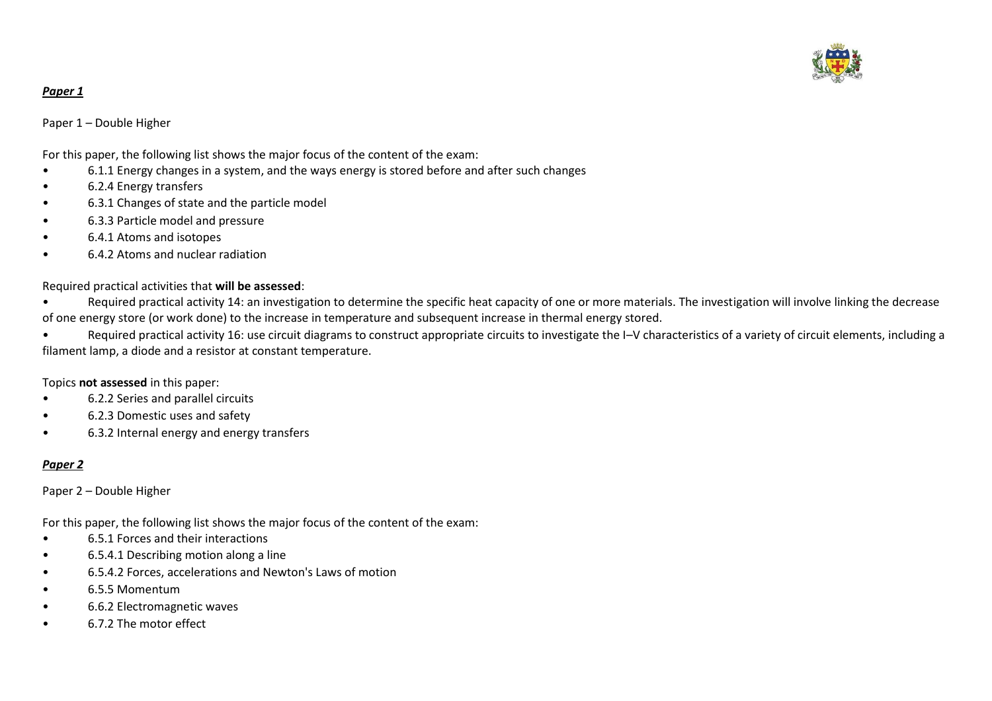

### *Paper 1*

Paper 1 – Double Higher

For this paper, the following list shows the major focus of the content of the exam:

- 6.1.1 Energy changes in a system, and the ways energy is stored before and after such changes
- 6.2.4 Energy transfers
- 6.3.1 Changes of state and the particle model
- 6.3.3 Particle model and pressure
- 6.4.1 Atoms and isotopes
- 6.4.2 Atoms and nuclear radiation

Required practical activities that **will be assessed**:

Required practical activity 14: an investigation to determine the specific heat capacity of one or more materials. The investigation will involve linking the decrease of one energy store (or work done) to the increase in temperature and subsequent increase in thermal energy stored.

• Required practical activity 16: use circuit diagrams to construct appropriate circuits to investigate the I–V characteristics of a variety of circuit elements, including a filament lamp, a diode and a resistor at constant temperature.

### Topics **not assessed** in this paper:

- 6.2.2 Series and parallel circuits
- 6.2.3 Domestic uses and safety
- 6.3.2 Internal energy and energy transfers

### *Paper 2*

Paper 2 – Double Higher

For this paper, the following list shows the major focus of the content of the exam:

- 6.5.1 Forces and their interactions
- 6.5.4.1 Describing motion along a line
- 6.5.4.2 Forces, accelerations and Newton's Laws of motion
- 6.5.5 Momentum
- 6.6.2 Electromagnetic waves
- 6.7.2 The motor effect